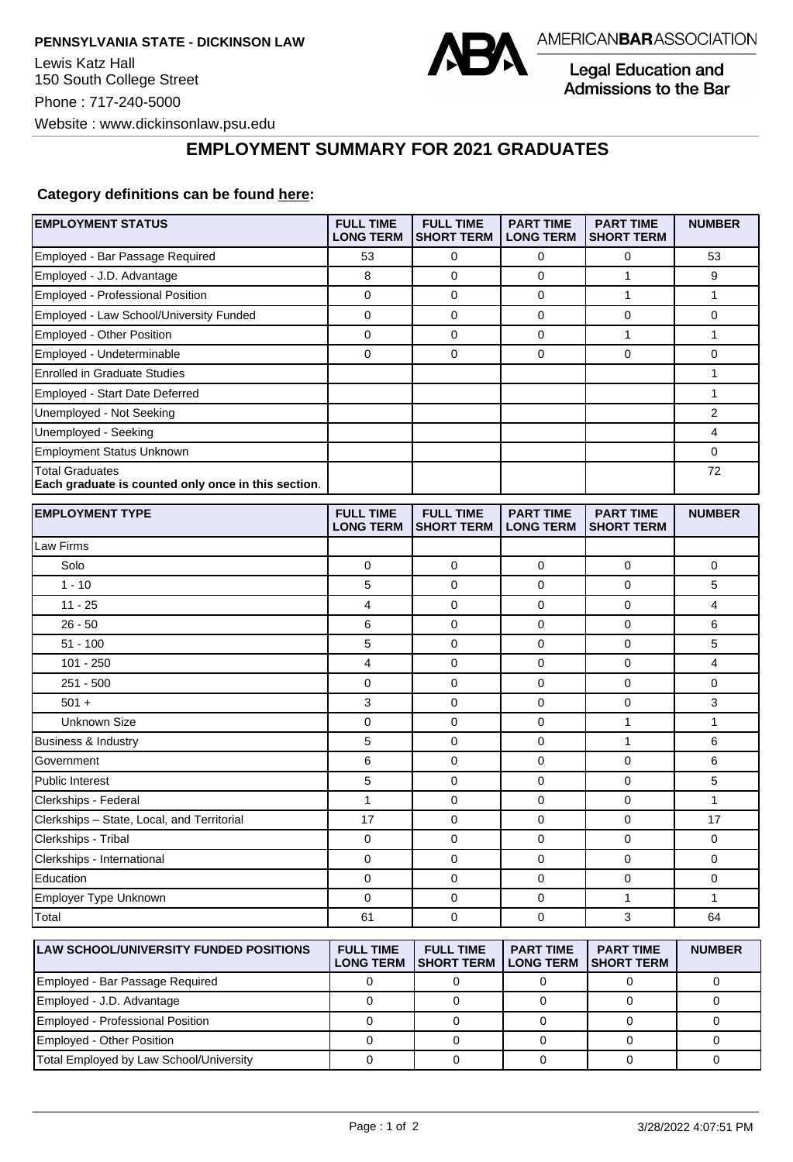

Legal Education and Admissions to the Bar

## **EMPLOYMENT SUMMARY FOR 2021 GRADUATES**

## **Category definitions can be found [here:](https://www.americanbar.org/content/dam/aba/administrative/legal_education_and_admissions_to_the_bar/Questionnaires/2021/2022-employment-protocols-for-the-class-of-2021-september-2021.pdf)**

| <b>EMPLOYMENT STATUS</b>                                                      | <b>FULL TIME</b><br><b>LONG TERM</b> | <b>FULL TIME</b><br><b>SHORT TERM</b> | <b>PART TIME</b><br><b>LONG TERM</b> | <b>PART TIME</b><br><b>SHORT TERM</b> | <b>NUMBER</b>  |
|-------------------------------------------------------------------------------|--------------------------------------|---------------------------------------|--------------------------------------|---------------------------------------|----------------|
| Employed - Bar Passage Required                                               | 53                                   | 0                                     | 0                                    | $\mathbf 0$                           | 53             |
| Employed - J.D. Advantage                                                     | 8                                    | $\mathbf 0$                           | 0                                    | $\mathbf{1}$                          | 9              |
| Employed - Professional Position                                              | $\mathbf 0$                          | 0                                     | $\Omega$                             | $\mathbf{1}$                          | $\mathbf{1}$   |
| Employed - Law School/University Funded                                       | $\mathbf 0$                          | $\mathbf 0$                           | 0                                    | $\mathbf 0$                           | $\mathbf 0$    |
| Employed - Other Position                                                     | $\mathbf 0$                          | $\mathbf 0$                           | 0                                    | $\mathbf{1}$                          | $\mathbf{1}$   |
| Employed - Undeterminable                                                     | $\mathbf 0$                          | $\overline{0}$                        | $\Omega$                             | $\overline{0}$                        | $\overline{0}$ |
| <b>Enrolled in Graduate Studies</b>                                           |                                      |                                       |                                      |                                       | 1              |
| <b>Employed - Start Date Deferred</b>                                         |                                      |                                       |                                      |                                       | $\mathbf{1}$   |
| Unemployed - Not Seeking                                                      |                                      |                                       |                                      |                                       | 2              |
| Unemployed - Seeking                                                          |                                      |                                       |                                      |                                       | 4              |
| <b>Employment Status Unknown</b>                                              |                                      |                                       |                                      |                                       | 0              |
| <b>Total Graduates</b><br>Each graduate is counted only once in this section. |                                      |                                       |                                      |                                       | 72             |
| <b>EMPLOYMENT TYPE</b>                                                        | <b>FULL TIME</b><br><b>LONG TERM</b> | <b>FULL TIME</b><br><b>SHORT TERM</b> | <b>PART TIME</b><br><b>LONG TERM</b> | <b>PART TIME</b><br><b>SHORT TERM</b> | <b>NUMBER</b>  |
| Law Firms                                                                     |                                      |                                       |                                      |                                       |                |
| Solo                                                                          | $\mathbf 0$                          | $\mathbf 0$                           | 0                                    | $\mathbf 0$                           | $\mathbf 0$    |
| $1 - 10$                                                                      | 5                                    | 0                                     | 0                                    | $\mathbf 0$                           | 5              |
| $11 - 25$                                                                     | 4                                    | $\mathbf 0$                           | 0                                    | $\mathbf 0$                           | $\overline{4}$ |
| $26 - 50$                                                                     | 6                                    | $\mathbf 0$                           | 0                                    | $\mathbf 0$                           | 6              |
| $51 - 100$                                                                    | 5                                    | $\mathbf 0$                           | 0                                    | $\mathbf 0$                           | 5              |
| $101 - 250$                                                                   | 4                                    | 0                                     | 0                                    | $\mathbf 0$                           | $\overline{4}$ |
| $251 - 500$                                                                   | $\mathbf 0$                          | 0                                     | 0                                    | 0                                     | $\mathbf 0$    |
| $501 +$                                                                       | 3                                    | 0                                     | 0                                    | 0                                     | 3              |
| <b>Unknown Size</b>                                                           | 0                                    | 0                                     | 0                                    | $\mathbf{1}$                          | $\mathbf{1}$   |
| Business & Industry                                                           | $\mathbf 5$                          | 0                                     | 0                                    | $\mathbf{1}$                          | 6              |
| Government                                                                    | 6                                    | $\mathbf 0$                           | 0                                    | $\mathbf 0$                           | 6              |
| <b>Public Interest</b>                                                        | 5                                    | $\mathbf 0$                           | 0                                    | 0                                     | 5              |
| Clerkships - Federal                                                          | $\mathbf{1}$                         | $\mathbf 0$                           | 0                                    | $\mathbf 0$                           | $\mathbf{1}$   |
| Clerkships - State, Local, and Territorial                                    | 17                                   | $\Omega$                              | $\Omega$                             | 0                                     | 17             |
| Clerkships - Tribal                                                           | $\mathbf 0$                          | $\mathbf 0$                           | 0                                    | $\mathbf 0$                           | $\mathbf 0$    |
| Clerkships - International                                                    | 0                                    | 0                                     | 0                                    | 0                                     | 0              |
| Education                                                                     | 0                                    | $\mathbf 0$                           | 0                                    | $\mathbf 0$                           | $\mathbf 0$    |
| Employer Type Unknown                                                         | 0                                    | 0                                     | 0                                    | $\mathbf{1}$                          | $\mathbf{1}$   |
| Total                                                                         | 61                                   | 0                                     | 0                                    | 3                                     | 64             |
| <b>LAW SCHOOL/UNIVERSITY FUNDED POSITIONS</b>                                 | <b>FULL TIME</b><br><b>LONG TERM</b> | <b>FULL TIME</b><br><b>SHORT TERM</b> | <b>PART TIME</b><br><b>LONG TERM</b> | <b>PART TIME</b><br><b>SHORT TERM</b> | <b>NUMBER</b>  |

|                                         | --------- | .<br><b>LONG TERM ISHORT TERM</b> | <b>I LONG TERM ISHORT TERM</b> | . |
|-----------------------------------------|-----------|-----------------------------------|--------------------------------|---|
| Employed - Bar Passage Required         |           |                                   |                                |   |
| Employed - J.D. Advantage               |           |                                   |                                |   |
| Employed - Professional Position        |           |                                   |                                |   |
| Employed - Other Position               |           |                                   |                                |   |
| Total Employed by Law School/University |           |                                   |                                |   |